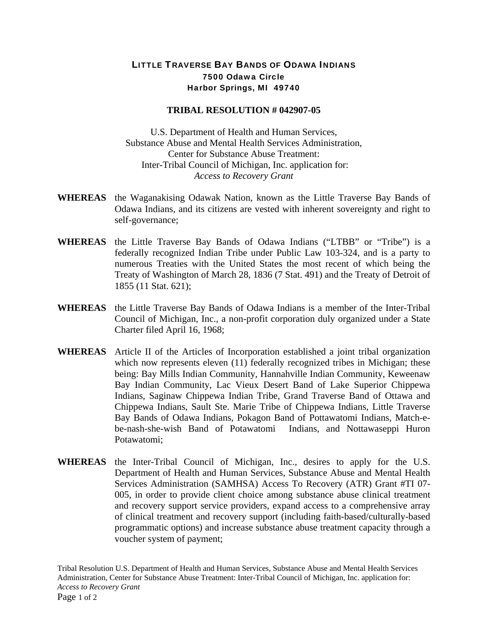## LITTLE TRAVERSE BAY BANDS OF ODAWA INDIANS 7500 Odawa Circle Harbor Springs, MI 49740

## **TRIBAL RESOLUTION # 042907-05**

U.S. Department of Health and Human Services, Substance Abuse and Mental Health Services Administration, Center for Substance Abuse Treatment: Inter-Tribal Council of Michigan, Inc. application for: *Access to Recovery Grant*

- **WHEREAS** the Waganakising Odawak Nation, known as the Little Traverse Bay Bands of Odawa Indians, and its citizens are vested with inherent sovereignty and right to self-governance;
- **WHEREAS** the Little Traverse Bay Bands of Odawa Indians ("LTBB" or "Tribe") is a federally recognized Indian Tribe under Public Law 103-324, and is a party to numerous Treaties with the United States the most recent of which being the Treaty of Washington of March 28, 1836 (7 Stat. 491) and the Treaty of Detroit of 1855 (11 Stat. 621);
- **WHEREAS** the Little Traverse Bay Bands of Odawa Indians is a member of the Inter-Tribal Council of Michigan, Inc., a non-profit corporation duly organized under a State Charter filed April 16, 1968;
- **WHEREAS** Article II of the Articles of Incorporation established a joint tribal organization which now represents eleven (11) federally recognized tribes in Michigan; these being: Bay Mills Indian Community, Hannahville Indian Community, Keweenaw Bay Indian Community, Lac Vieux Desert Band of Lake Superior Chippewa Indians, Saginaw Chippewa Indian Tribe, Grand Traverse Band of Ottawa and Chippewa Indians, Sault Ste. Marie Tribe of Chippewa Indians, Little Traverse Bay Bands of Odawa Indians, Pokagon Band of Pottawatomi Indians, Match-ebe-nash-she-wish Band of Potawatomi Indians, and Nottawaseppi Huron Potawatomi;
- **WHEREAS** the Inter-Tribal Council of Michigan, Inc., desires to apply for the U.S. Department of Health and Human Services, Substance Abuse and Mental Health Services Administration (SAMHSA) Access To Recovery (ATR) Grant #TI 07- 005, in order to provide client choice among substance abuse clinical treatment and recovery support service providers, expand access to a comprehensive array of clinical treatment and recovery support (including faith-based/culturally-based programmatic options) and increase substance abuse treatment capacity through a voucher system of payment;